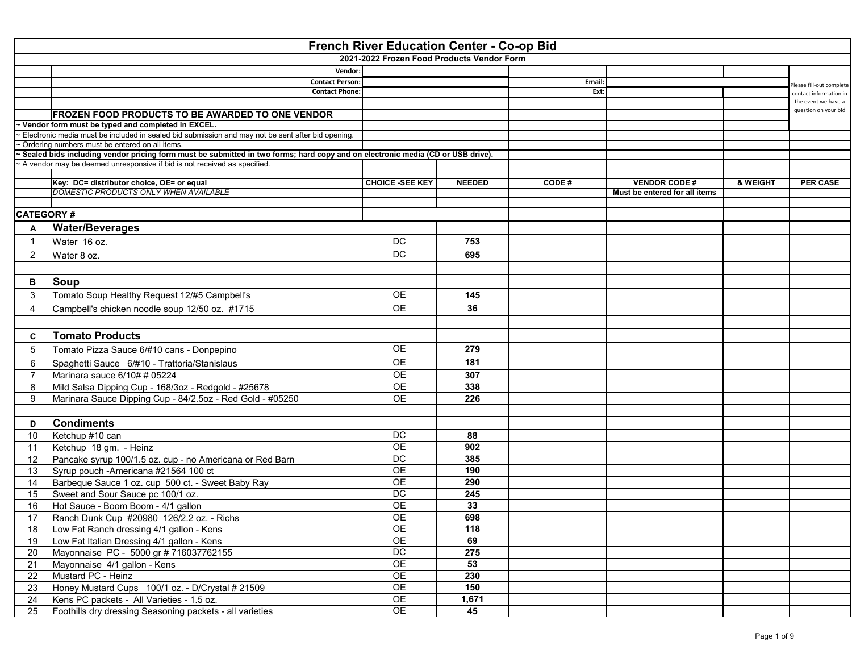|                  |                                                                                                                                                        | <b>French River Education Center - Co-op Bid</b><br>2021-2022 Frozen Food Products Vendor Form |               |        |                               |          |                                             |
|------------------|--------------------------------------------------------------------------------------------------------------------------------------------------------|------------------------------------------------------------------------------------------------|---------------|--------|-------------------------------|----------|---------------------------------------------|
|                  |                                                                                                                                                        | Vendor:                                                                                        |               |        |                               |          |                                             |
|                  | <b>Contact Person:</b>                                                                                                                                 |                                                                                                |               | Email: |                               |          | Please fill-out complete                    |
|                  |                                                                                                                                                        | <b>Contact Phone:</b>                                                                          |               |        | Ext:                          |          | contact information in                      |
|                  |                                                                                                                                                        |                                                                                                |               |        |                               |          | the event we have a<br>question on your bid |
|                  | <b>FROZEN FOOD PRODUCTS TO BE AWARDED TO ONE VENDOR</b>                                                                                                |                                                                                                |               |        |                               |          |                                             |
|                  | Vendor form must be typed and completed in EXCEL.<br>Electronic media must be included in sealed bid submission and may not be sent after bid opening. |                                                                                                |               |        |                               |          |                                             |
|                  | Ordering numbers must be entered on all items.                                                                                                         |                                                                                                |               |        |                               |          |                                             |
|                  | Sealed bids including vendor pricing form must be submitted in two forms; hard copy and on electronic media (CD or USB drive).                         |                                                                                                |               |        |                               |          |                                             |
|                  | A vendor may be deemed unresponsive if bid is not received as specified.                                                                               |                                                                                                |               |        |                               |          |                                             |
|                  |                                                                                                                                                        | <b>CHOICE -SEE KEY</b>                                                                         |               | CODE#  | <b>VENDOR CODE#</b>           | & WEIGHT | <b>PER CASE</b>                             |
|                  | Key: DC= distributor choice, OE= or equal<br>DOMESTIC PRODUCTS ONLY WHEN AVAILABLE                                                                     |                                                                                                | <b>NEEDED</b> |        | Must be entered for all items |          |                                             |
|                  |                                                                                                                                                        |                                                                                                |               |        |                               |          |                                             |
| <b>CATEGORY#</b> |                                                                                                                                                        |                                                                                                |               |        |                               |          |                                             |
|                  | <b>Water/Beverages</b>                                                                                                                                 |                                                                                                |               |        |                               |          |                                             |
|                  | Water 16 oz.                                                                                                                                           | <b>DC</b>                                                                                      | 753           |        |                               |          |                                             |
|                  | Water 8 oz.                                                                                                                                            | DC                                                                                             | 695           |        |                               |          |                                             |
|                  |                                                                                                                                                        |                                                                                                |               |        |                               |          |                                             |
| B                |                                                                                                                                                        |                                                                                                |               |        |                               |          |                                             |
|                  | Soup                                                                                                                                                   |                                                                                                |               |        |                               |          |                                             |
| 3                | Tomato Soup Healthy Request 12/#5 Campbell's                                                                                                           | <b>OE</b>                                                                                      | 145           |        |                               |          |                                             |
|                  | Campbell's chicken noodle soup 12/50 oz. #1715                                                                                                         | <b>OE</b>                                                                                      | 36            |        |                               |          |                                             |
|                  |                                                                                                                                                        |                                                                                                |               |        |                               |          |                                             |
| C                | <b>Tomato Products</b>                                                                                                                                 |                                                                                                |               |        |                               |          |                                             |
| 5                | Tomato Pizza Sauce 6/#10 cans - Donpepino                                                                                                              | <b>OE</b>                                                                                      | 279           |        |                               |          |                                             |
| 6                | Spaghetti Sauce 6/#10 - Trattoria/Stanislaus                                                                                                           | <b>OE</b>                                                                                      | 181           |        |                               |          |                                             |
|                  | Marinara sauce 6/10# # 05224                                                                                                                           | <b>OE</b>                                                                                      | 307           |        |                               |          |                                             |
|                  | Mild Salsa Dipping Cup - 168/3oz - Redgold - #25678                                                                                                    | <b>OE</b>                                                                                      | 338           |        |                               |          |                                             |
|                  | Marinara Sauce Dipping Cup - 84/2.5oz - Red Gold - #05250                                                                                              | <b>OE</b>                                                                                      | 226           |        |                               |          |                                             |
|                  |                                                                                                                                                        |                                                                                                |               |        |                               |          |                                             |
| D                | <b>Condiments</b>                                                                                                                                      |                                                                                                |               |        |                               |          |                                             |
| 10               | Ketchup #10 can                                                                                                                                        | <b>DC</b>                                                                                      | 88            |        |                               |          |                                             |
|                  | Ketchup 18 gm. - Heinz                                                                                                                                 | <b>OE</b>                                                                                      | 902           |        |                               |          |                                             |
| 12               | Pancake syrup 100/1.5 oz. cup - no Americana or Red Barn                                                                                               | DC                                                                                             | 385           |        |                               |          |                                             |
| 13               | Syrup pouch -Americana #21564 100 ct                                                                                                                   | <b>OE</b>                                                                                      | 190           |        |                               |          |                                             |
| 14               | Barbeque Sauce 1 oz. cup 500 ct. - Sweet Baby Ray                                                                                                      | <b>OE</b>                                                                                      | 290           |        |                               |          |                                             |
| 15               | Sweet and Sour Sauce pc 100/1 oz.                                                                                                                      | <b>DC</b>                                                                                      | 245           |        |                               |          |                                             |
| 16               | Hot Sauce - Boom Boom - 4/1 gallon                                                                                                                     | <b>OE</b>                                                                                      | 33            |        |                               |          |                                             |
| 17               | Ranch Dunk Cup #20980 126/2.2 oz. - Richs                                                                                                              | <b>OE</b>                                                                                      | 698           |        |                               |          |                                             |
| 18               | Low Fat Ranch dressing 4/1 gallon - Kens                                                                                                               | <b>OE</b>                                                                                      | 118           |        |                               |          |                                             |
| 19               | Low Fat Italian Dressing 4/1 gallon - Kens                                                                                                             | <b>OE</b>                                                                                      | 69            |        |                               |          |                                             |
| 20               | Mayonnaise PC - 5000 gr # 716037762155                                                                                                                 | DC                                                                                             | 275           |        |                               |          |                                             |
| 21               | Mayonnaise 4/1 gallon - Kens                                                                                                                           | <b>OE</b>                                                                                      | 53            |        |                               |          |                                             |
| 22               | Mustard PC - Heinz                                                                                                                                     | <b>OE</b>                                                                                      | 230           |        |                               |          |                                             |
| 23               | Honey Mustard Cups 100/1 oz. - D/Crystal # 21509                                                                                                       | <b>OE</b>                                                                                      | 150           |        |                               |          |                                             |
| 24               | Kens PC packets - All Varieties - 1.5 oz.                                                                                                              | <b>OE</b>                                                                                      | 1,671         |        |                               |          |                                             |
| 25               | Foothills dry dressing Seasoning packets - all varieties                                                                                               | <b>OE</b>                                                                                      | 45            |        |                               |          |                                             |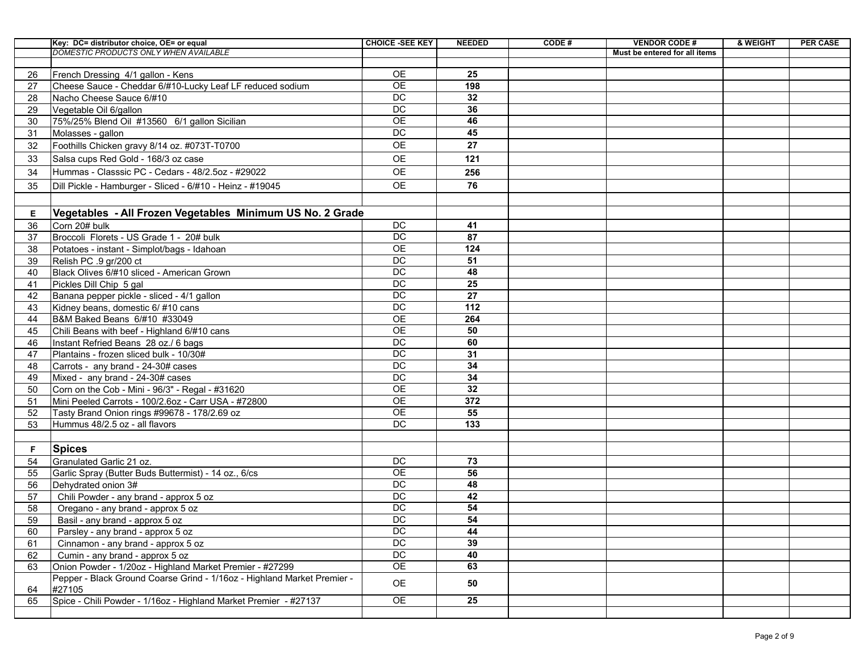|    | Key: DC= distributor choice, OE= or equal                                         | <b>CHOICE -SEE KEY</b> | <b>NEEDED</b> | CODE# | <b>VENDOR CODE#</b>           | & WEIGHT | <b>PER CASE</b> |
|----|-----------------------------------------------------------------------------------|------------------------|---------------|-------|-------------------------------|----------|-----------------|
|    | <b>DOMESTIC PRODUCTS ONLY WHEN AVAILABLE</b>                                      |                        |               |       | Must be entered for all items |          |                 |
|    |                                                                                   |                        |               |       |                               |          |                 |
| 26 | French Dressing 4/1 gallon - Kens                                                 | <b>OE</b>              | 25            |       |                               |          |                 |
| 27 | Cheese Sauce - Cheddar 6/#10-Lucky Leaf LF reduced sodium                         | <b>OE</b>              | 198           |       |                               |          |                 |
| 28 | Nacho Cheese Sauce 6/#10                                                          | <b>DC</b>              | 32            |       |                               |          |                 |
| 29 | Vegetable Oil 6/gallon                                                            | <b>DC</b>              | 36            |       |                               |          |                 |
| 30 | 75%/25% Blend Oil #13560 6/1 gallon Sicilian                                      | <b>OE</b>              | 46            |       |                               |          |                 |
| 31 | Molasses - gallon                                                                 | <b>DC</b>              | 45            |       |                               |          |                 |
| 32 | Foothills Chicken gravy 8/14 oz. #073T-T0700                                      | <b>OE</b>              | 27            |       |                               |          |                 |
| 33 | Salsa cups Red Gold - 168/3 oz case                                               | <b>OE</b>              | 121           |       |                               |          |                 |
| 34 | Hummas - Classsic PC - Cedars - 48/2.5oz - #29022                                 | <b>OE</b>              | 256           |       |                               |          |                 |
| 35 | Dill Pickle - Hamburger - Sliced - 6/#10 - Heinz - #19045                         | <b>OE</b>              | 76            |       |                               |          |                 |
|    |                                                                                   |                        |               |       |                               |          |                 |
| Е  | Vegetables - All Frozen Vegetables Minimum US No. 2 Grade                         |                        |               |       |                               |          |                 |
| 36 | Corn 20# bulk                                                                     | <b>DC</b>              | 41            |       |                               |          |                 |
| 37 | Broccoli Florets - US Grade 1 - 20# bulk                                          | <b>DC</b>              | 87            |       |                               |          |                 |
| 38 | Potatoes - instant - Simplot/bags - Idahoan                                       | <b>OE</b>              | 124           |       |                               |          |                 |
| 39 | Relish PC .9 gr/200 ct                                                            | <b>DC</b>              | 51            |       |                               |          |                 |
| 40 | Black Olives 6/#10 sliced - American Grown                                        | <b>DC</b>              | 48            |       |                               |          |                 |
| 41 | Pickles Dill Chip 5 gal                                                           | <b>DC</b>              | 25            |       |                               |          |                 |
| 42 | Banana pepper pickle - sliced - 4/1 gallon                                        | <b>DC</b>              | 27            |       |                               |          |                 |
| 43 | Kidney beans, domestic 6/ #10 cans                                                | <b>DC</b>              | 112           |       |                               |          |                 |
| 44 | B&M Baked Beans 6/#10 #33049                                                      | <b>OE</b>              | 264           |       |                               |          |                 |
| 45 | Chili Beans with beef - Highland 6/#10 cans                                       | <b>OE</b>              | 50            |       |                               |          |                 |
| 46 | Instant Refried Beans 28 oz./ 6 bags                                              | <b>DC</b>              | 60            |       |                               |          |                 |
| 47 | Plantains - frozen sliced bulk - 10/30#                                           | <b>DC</b>              | 31            |       |                               |          |                 |
| 48 | Carrots - any brand - 24-30# cases                                                | <b>DC</b>              | 34            |       |                               |          |                 |
| 49 | Mixed - any brand - 24-30# cases                                                  | <b>DC</b>              | 34            |       |                               |          |                 |
| 50 | Corn on the Cob - Mini - 96/3" - Regal - #31620                                   | <b>OE</b>              | 32            |       |                               |          |                 |
| 51 | Mini Peeled Carrots - 100/2.6oz - Carr USA - #72800                               | <b>OE</b>              | 372           |       |                               |          |                 |
| 52 | Tasty Brand Onion rings #99678 - 178/2.69 oz                                      | <b>OE</b>              | 55            |       |                               |          |                 |
| 53 | Hummus 48/2.5 oz - all flavors                                                    | DC                     | 133           |       |                               |          |                 |
|    |                                                                                   |                        |               |       |                               |          |                 |
| F. | <b>Spices</b>                                                                     |                        |               |       |                               |          |                 |
| 54 | Granulated Garlic 21 oz.                                                          | <b>DC</b>              | 73            |       |                               |          |                 |
| 55 | Garlic Spray (Butter Buds Buttermist) - 14 oz., 6/cs                              | <b>OE</b>              | 56            |       |                               |          |                 |
| 56 | Dehydrated onion 3#                                                               | <b>DC</b>              | 48            |       |                               |          |                 |
| 57 | Chili Powder - any brand - approx 5 oz                                            | <b>DC</b>              | 42            |       |                               |          |                 |
| 58 | Oregano - any brand - approx 5 oz                                                 | <b>DC</b>              | 54            |       |                               |          |                 |
| 59 | Basil - any brand - approx 5 oz                                                   | <b>DC</b>              | 54            |       |                               |          |                 |
| 60 | Parsley - any brand - approx 5 oz                                                 | <b>DC</b>              | 44            |       |                               |          |                 |
| 61 | Cinnamon - any brand - approx 5 oz                                                | DC                     | 39            |       |                               |          |                 |
| 62 | Cumin - any brand - approx 5 oz                                                   | <b>DC</b>              | 40            |       |                               |          |                 |
| 63 | Onion Powder - 1/20oz - Highland Market Premier - #27299                          | <b>OE</b>              | 63            |       |                               |          |                 |
| 64 | Pepper - Black Ground Coarse Grind - 1/16oz - Highland Market Premier -<br>#27105 | <b>OE</b>              | 50            |       |                               |          |                 |
| 65 | Spice - Chili Powder - 1/16oz - Highland Market Premier - #27137                  | OE                     | 25            |       |                               |          |                 |
|    |                                                                                   |                        |               |       |                               |          |                 |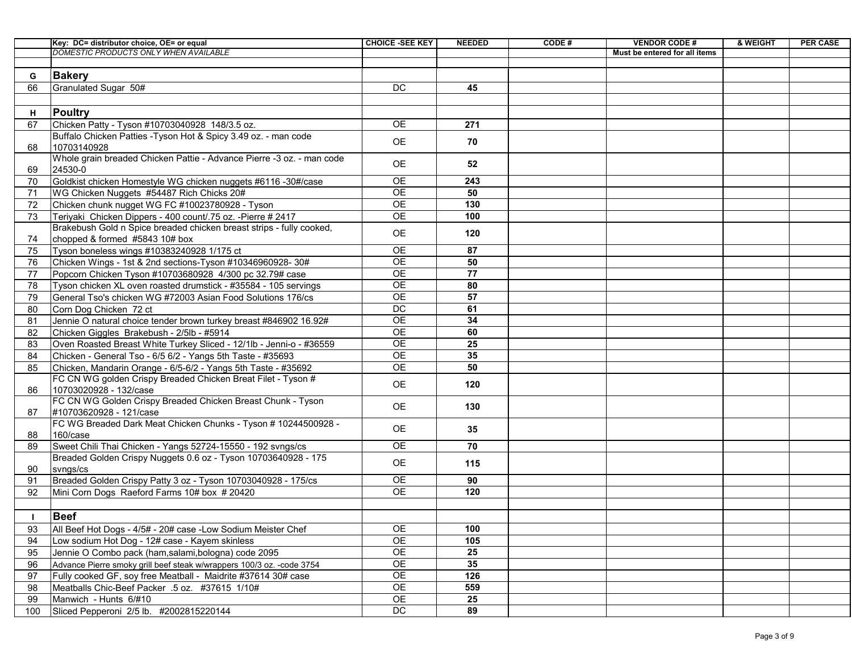|          | Key: DC= distributor choice, OE= or equal                                                                                     | <b>CHOICE -SEE KEY</b> | <b>NEEDED</b> | CODE# | <b>VENDOR CODE#</b>           | & WEIGHT | <b>PER CASE</b> |
|----------|-------------------------------------------------------------------------------------------------------------------------------|------------------------|---------------|-------|-------------------------------|----------|-----------------|
|          | <b>DOMESTIC PRODUCTS ONLY WHEN AVAILABLE</b>                                                                                  |                        |               |       | Must be entered for all items |          |                 |
|          |                                                                                                                               |                        |               |       |                               |          |                 |
| G.       | <b>Bakery</b>                                                                                                                 |                        |               |       |                               |          |                 |
| 66       | Granulated Sugar 50#                                                                                                          | <b>DC</b>              | 45            |       |                               |          |                 |
|          |                                                                                                                               |                        |               |       |                               |          |                 |
| Н.       | <b>Poultry</b>                                                                                                                |                        |               |       |                               |          |                 |
| 67       | Chicken Patty - Tyson #10703040928 148/3.5 oz.                                                                                | <b>OE</b>              | 271           |       |                               |          |                 |
|          | Buffalo Chicken Patties -Tyson Hot & Spicy 3.49 oz. - man code                                                                | <b>OE</b>              | 70            |       |                               |          |                 |
| 68       | 10703140928                                                                                                                   |                        |               |       |                               |          |                 |
|          | Whole grain breaded Chicken Pattie - Advance Pierre -3 oz. - man code                                                         | <b>OE</b>              | 52            |       |                               |          |                 |
| 69       | 24530-0                                                                                                                       |                        |               |       |                               |          |                 |
| 70       | Goldkist chicken Homestyle WG chicken nuggets #6116 -30#/case                                                                 | <b>OE</b>              | 243           |       |                               |          |                 |
| 71       | WG Chicken Nuggets #54487 Rich Chicks 20#                                                                                     | <b>OE</b>              | 50            |       |                               |          |                 |
| 72       | Chicken chunk nugget WG FC #10023780928 - Tyson                                                                               | <b>OE</b>              | 130           |       |                               |          |                 |
| 73       | Teriyaki Chicken Dippers - 400 count/.75 oz. - Pierre # 2417                                                                  | <b>OE</b>              | 100           |       |                               |          |                 |
|          | Brakebush Gold n Spice breaded chicken breast strips - fully cooked,                                                          | <b>OE</b>              | 120           |       |                               |          |                 |
| 74       | chopped & formed #5843 10# box                                                                                                |                        |               |       |                               |          |                 |
| 75       | Tyson boneless wings #10383240928 1/175 ct                                                                                    | <b>OE</b>              | 87            |       |                               |          |                 |
| 76       | Chicken Wings - 1st & 2nd sections-Tyson #10346960928- 30#                                                                    | <b>OE</b><br><b>OE</b> | 50<br>77      |       |                               |          |                 |
| 77       | Popcorn Chicken Tyson #10703680928 4/300 pc 32.79# case                                                                       | <b>OE</b>              | 80            |       |                               |          |                 |
| 78       | Tyson chicken XL oven roasted drumstick - #35584 - 105 servings                                                               | <b>OE</b>              | 57            |       |                               |          |                 |
| 79       | General Tso's chicken WG #72003 Asian Food Solutions 176/cs                                                                   | <b>DC</b>              | 61            |       |                               |          |                 |
| 80       | Corn Dog Chicken 72 ct                                                                                                        | <b>OE</b>              | 34            |       |                               |          |                 |
| 81<br>82 | Jennie O natural choice tender brown turkey breast #846902 16.92#<br>Chicken Giggles Brakebush - 2/5lb - #5914                | <b>OE</b>              | 60            |       |                               |          |                 |
| 83       | Oven Roasted Breast White Turkey Sliced - 12/1lb - Jenni-o - #36559                                                           | <b>OE</b>              | 25            |       |                               |          |                 |
| 84       | Chicken - General Tso - 6/5 6/2 - Yangs 5th Taste - #35693                                                                    | <b>OE</b>              | 35            |       |                               |          |                 |
| 85       |                                                                                                                               | <b>OE</b>              | 50            |       |                               |          |                 |
|          | Chicken, Mandarin Orange - 6/5-6/2 - Yangs 5th Taste - #35692<br>FC CN WG golden Crispy Breaded Chicken Breat Filet - Tyson # |                        |               |       |                               |          |                 |
| 86       | 10703020928 - 132/case                                                                                                        | <b>OE</b>              | 120           |       |                               |          |                 |
|          | FC CN WG Golden Crispy Breaded Chicken Breast Chunk - Tyson                                                                   |                        |               |       |                               |          |                 |
| 87       | #10703620928 - 121/case                                                                                                       | <b>OE</b>              | 130           |       |                               |          |                 |
|          | FC WG Breaded Dark Meat Chicken Chunks - Tyson # 10244500928 -                                                                |                        |               |       |                               |          |                 |
| 88       | 160/case                                                                                                                      | <b>OE</b>              | 35            |       |                               |          |                 |
| 89       | Sweet Chili Thai Chicken - Yangs 52724-15550 - 192 svngs/cs                                                                   | <b>OE</b>              | 70            |       |                               |          |                 |
|          | Breaded Golden Crispy Nuggets 0.6 oz - Tyson 10703640928 - 175                                                                | <b>OE</b>              | 115           |       |                               |          |                 |
| 90       | svngs/cs                                                                                                                      |                        |               |       |                               |          |                 |
| 91       | Breaded Golden Crispy Patty 3 oz - Tyson 10703040928 - 175/cs                                                                 | <b>OE</b>              | 90            |       |                               |          |                 |
| 92       | Mini Corn Dogs Raeford Farms 10# box # 20420                                                                                  | <b>OE</b>              | 120           |       |                               |          |                 |
|          |                                                                                                                               |                        |               |       |                               |          |                 |
|          | <b>Beef</b>                                                                                                                   |                        |               |       |                               |          |                 |
| 93       | All Beef Hot Dogs - 4/5# - 20# case -Low Sodium Meister Chef                                                                  | <b>OE</b>              | 100           |       |                               |          |                 |
| 94       | Low sodium Hot Dog - 12# case - Kayem skinless                                                                                | <b>OE</b>              | 105           |       |                               |          |                 |
| 95       | Jennie O Combo pack (ham, salami, bologna) code 2095                                                                          | <b>OE</b>              | 25            |       |                               |          |                 |
| 96       | Advance Pierre smoky grill beef steak w/wrappers 100/3 oz. - code 3754                                                        | <b>OE</b>              | 35            |       |                               |          |                 |
| 97       | Fully cooked GF, soy free Meatball - Maidrite #37614 30# case                                                                 | <b>OE</b>              | 126           |       |                               |          |                 |
| 98       | Meatballs Chic-Beef Packer .5 oz. #37615 1/10#                                                                                | <b>OE</b>              | 559           |       |                               |          |                 |
| 99       | Manwich - Hunts 6/#10                                                                                                         | <b>OE</b>              | 25            |       |                               |          |                 |
| 100      | Sliced Pepperoni 2/5 lb. #2002815220144                                                                                       | <b>DC</b>              | 89            |       |                               |          |                 |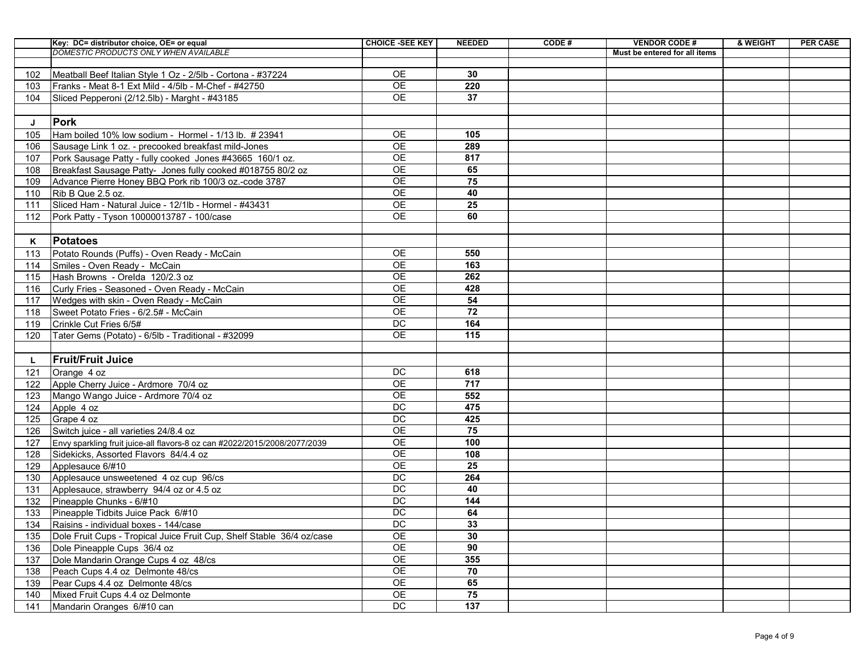|     | Key: DC= distributor choice, OE= or equal                                 | <b>CHOICE -SEE KEY</b> | <b>NEEDED</b> | CODE# | <b>VENDOR CODE#</b>           | & WEIGHT | <b>PER CASE</b> |
|-----|---------------------------------------------------------------------------|------------------------|---------------|-------|-------------------------------|----------|-----------------|
|     | <b>DOMESTIC PRODUCTS ONLY WHEN AVAILABLE</b>                              |                        |               |       | Must be entered for all items |          |                 |
|     |                                                                           |                        |               |       |                               |          |                 |
| 102 | Meatball Beef Italian Style 1 Oz - 2/5lb - Cortona - #37224               | <b>OE</b>              | 30            |       |                               |          |                 |
| 103 | Franks - Meat 8-1 Ext Mild - 4/5lb - M-Chef - #42750                      | <b>OE</b>              | 220           |       |                               |          |                 |
| 104 | Sliced Pepperoni (2/12.5lb) - Marght - #43185                             | <b>OE</b>              | 37            |       |                               |          |                 |
|     |                                                                           |                        |               |       |                               |          |                 |
|     | Pork                                                                      |                        |               |       |                               |          |                 |
| 105 | Ham boiled 10% low sodium - Hormel - 1/13 lb. # 23941                     | <b>OE</b>              | 105           |       |                               |          |                 |
| 106 | Sausage Link 1 oz. - precooked breakfast mild-Jones                       | <b>OE</b>              | 289           |       |                               |          |                 |
| 107 | Pork Sausage Patty - fully cooked Jones #43665 160/1 oz.                  | <b>OE</b>              | 817           |       |                               |          |                 |
| 108 | Breakfast Sausage Patty- Jones fully cooked #018755 80/2 oz               | <b>OE</b>              | 65            |       |                               |          |                 |
| 109 | Advance Pierre Honey BBQ Pork rib 100/3 oz.-code 3787                     | <b>OE</b>              | 75            |       |                               |          |                 |
| 110 | Rib B Que 2.5 oz.                                                         | <b>OE</b>              | 40            |       |                               |          |                 |
| 111 | Sliced Ham - Natural Juice - 12/1lb - Hormel - #43431                     | <b>OE</b>              | 25            |       |                               |          |                 |
| 112 | Pork Patty - Tyson 10000013787 - 100/case                                 | <b>OE</b>              | 60            |       |                               |          |                 |
|     |                                                                           |                        |               |       |                               |          |                 |
| K   | <b>Potatoes</b>                                                           |                        |               |       |                               |          |                 |
| 113 | Potato Rounds (Puffs) - Oven Ready - McCain                               | <b>OE</b>              | 550           |       |                               |          |                 |
| 114 | Smiles - Oven Ready - McCain                                              | <b>OE</b>              | 163           |       |                               |          |                 |
| 115 | Hash Browns - Orelda 120/2.3 oz                                           | <b>OE</b>              | 262           |       |                               |          |                 |
| 116 | Curly Fries - Seasoned - Oven Ready - McCain                              | <b>OE</b>              | 428           |       |                               |          |                 |
| 117 | Wedges with skin - Oven Ready - McCain                                    | <b>OE</b>              | 54            |       |                               |          |                 |
| 118 | Sweet Potato Fries - 6/2.5# - McCain                                      | <b>OE</b>              | 72            |       |                               |          |                 |
| 119 | Crinkle Cut Fries 6/5#                                                    | <b>DC</b>              | 164           |       |                               |          |                 |
| 120 | Tater Gems (Potato) - 6/5lb - Traditional - #32099                        | <b>OE</b>              | 115           |       |                               |          |                 |
|     |                                                                           |                        |               |       |                               |          |                 |
|     | <b>Fruit/Fruit Juice</b>                                                  |                        |               |       |                               |          |                 |
| 121 | Orange 4 oz                                                               | <b>DC</b>              | 618           |       |                               |          |                 |
| 122 | Apple Cherry Juice - Ardmore 70/4 oz                                      | <b>OE</b>              | 717           |       |                               |          |                 |
| 123 | Mango Wango Juice - Ardmore 70/4 oz                                       | <b>OE</b>              | 552           |       |                               |          |                 |
| 124 | Apple 4 oz                                                                | DC                     | 475           |       |                               |          |                 |
| 125 | Grape 4 oz                                                                | <b>DC</b>              | 425           |       |                               |          |                 |
| 126 | Switch juice - all varieties 24/8.4 oz                                    | <b>OE</b>              | 75            |       |                               |          |                 |
| 127 | Envy sparkling fruit juice-all flavors-8 oz can #2022/2015/2008/2077/2039 | <b>OE</b>              | 100           |       |                               |          |                 |
| 128 | Sidekicks, Assorted Flavors 84/4.4 oz                                     | <b>OE</b>              | 108           |       |                               |          |                 |
| 129 | Applesauce 6/#10                                                          | <b>OE</b>              | 25            |       |                               |          |                 |
| 130 | Applesauce unsweetened 4 oz cup 96/cs                                     | DC                     | 264           |       |                               |          |                 |
| 131 | Applesauce, strawberry 94/4 oz or 4.5 oz                                  | DC                     | 40            |       |                               |          |                 |
| 132 | Pineapple Chunks - 6/#10                                                  | DC                     | 144           |       |                               |          |                 |
| 133 | Pineapple Tidbits Juice Pack 6/#10                                        | DC                     | 64            |       |                               |          |                 |
| 134 | Raisins - individual boxes - 144/case                                     | DC                     | 33            |       |                               |          |                 |
| 135 | Dole Fruit Cups - Tropical Juice Fruit Cup, Shelf Stable 36/4 oz/case     | <b>OE</b>              | 30            |       |                               |          |                 |
| 136 | Dole Pineapple Cups 36/4 oz                                               | <b>OE</b>              | 90            |       |                               |          |                 |
| 137 | Dole Mandarin Orange Cups 4 oz 48/cs                                      | <b>OE</b>              | 355           |       |                               |          |                 |
| 138 | Peach Cups 4.4 oz Delmonte 48/cs                                          | <b>OE</b>              | 70            |       |                               |          |                 |
| 139 | Pear Cups 4.4 oz Delmonte 48/cs                                           | <b>OE</b>              | 65            |       |                               |          |                 |
| 140 | Mixed Fruit Cups 4.4 oz Delmonte                                          | <b>OE</b>              | 75            |       |                               |          |                 |
| 141 | Mandarin Oranges 6/#10 can                                                | DC                     | 137           |       |                               |          |                 |
|     |                                                                           |                        |               |       |                               |          |                 |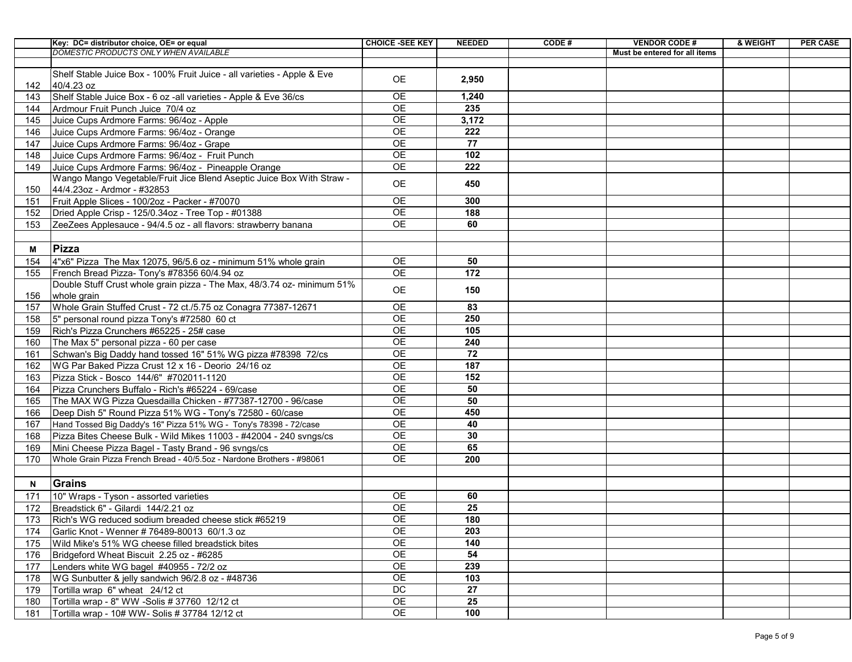|     | Key: DC= distributor choice, OE= or equal                               | <b>CHOICE -SEE KEY</b> | <b>NEEDED</b> | CODE# | <b>VENDOR CODE#</b>           | & WEIGHT | <b>PER CASE</b> |
|-----|-------------------------------------------------------------------------|------------------------|---------------|-------|-------------------------------|----------|-----------------|
|     | DOMESTIC PRODUCTS ONLY WHEN AVAILABLE                                   |                        |               |       | Must be entered for all items |          |                 |
|     |                                                                         |                        |               |       |                               |          |                 |
|     | Shelf Stable Juice Box - 100% Fruit Juice - all varieties - Apple & Eve | <b>OE</b>              | 2,950         |       |                               |          |                 |
| 142 | 40/4.23 oz                                                              |                        |               |       |                               |          |                 |
| 143 | Shelf Stable Juice Box - 6 oz - all varieties - Apple & Eve 36/cs       | <b>OE</b>              | 1,240         |       |                               |          |                 |
| 144 | Ardmour Fruit Punch Juice 70/4 oz                                       | <b>OE</b>              | 235           |       |                               |          |                 |
| 145 | Juice Cups Ardmore Farms: 96/4oz - Apple                                | <b>OE</b>              | 3,172         |       |                               |          |                 |
| 146 | Juice Cups Ardmore Farms: 96/4oz - Orange                               | <b>OE</b>              | 222           |       |                               |          |                 |
| 147 | Juice Cups Ardmore Farms: 96/4oz - Grape                                | <b>OE</b>              | 77            |       |                               |          |                 |
| 148 | Juice Cups Ardmore Farms: 96/4oz - Fruit Punch                          | <b>OE</b>              | 102           |       |                               |          |                 |
| 149 | Juice Cups Ardmore Farms: 96/4oz - Pineapple Orange                     | <b>OE</b>              | 222           |       |                               |          |                 |
|     | Wango Mango Vegetable/Fruit Jice Blend Aseptic Juice Box With Straw -   | <b>OE</b>              | 450           |       |                               |          |                 |
| 150 | 44/4.23oz - Ardmor - #32853                                             |                        |               |       |                               |          |                 |
| 151 | Fruit Apple Slices - 100/2oz - Packer - #70070                          | <b>OE</b>              | 300           |       |                               |          |                 |
| 152 | Dried Apple Crisp - 125/0.34oz - Tree Top - #01388                      | <b>OE</b>              | 188           |       |                               |          |                 |
| 153 | ZeeZees Applesauce - 94/4.5 oz - all flavors: strawberry banana         | <b>OE</b>              | 60            |       |                               |          |                 |
|     |                                                                         |                        |               |       |                               |          |                 |
| M   | Pizza                                                                   |                        |               |       |                               |          |                 |
| 154 | $ 4"x6"$ Pizza The Max 12075, 96/5.6 oz - minimum 51% whole grain       | <b>OE</b>              | 50            |       |                               |          |                 |
| 155 | French Bread Pizza- Tony's #78356 60/4.94 oz                            | <b>OE</b>              | 172           |       |                               |          |                 |
|     | Double Stuff Crust whole grain pizza - The Max, 48/3.74 oz- minimum 51% |                        |               |       |                               |          |                 |
| 156 | whole grain                                                             | <b>OE</b>              | 150           |       |                               |          |                 |
| 157 | Whole Grain Stuffed Crust - 72 ct./5.75 oz Conagra 77387-12671          | <b>OE</b>              | 83            |       |                               |          |                 |
| 158 | 5" personal round pizza Tony's #72580 60 ct                             | <b>OE</b>              | 250           |       |                               |          |                 |
| 159 | Rich's Pizza Crunchers #65225 - 25# case                                | <b>OE</b>              | 105           |       |                               |          |                 |
| 160 | The Max 5" personal pizza - 60 per case                                 | <b>OE</b>              | 240           |       |                               |          |                 |
| 161 | Schwan's Big Daddy hand tossed 16" 51% WG pizza #78398 72/cs            | <b>OE</b>              | 72            |       |                               |          |                 |
| 162 | WG Par Baked Pizza Crust 12 x 16 - Deorio 24/16 oz                      | <b>OE</b>              | 187           |       |                               |          |                 |
| 163 | Pizza Stick - Bosco 144/6" #702011-1120                                 | <b>OE</b>              | 152           |       |                               |          |                 |
| 164 | Pizza Crunchers Buffalo - Rich's #65224 - 69/case                       | <b>OE</b>              | 50            |       |                               |          |                 |
| 165 | The MAX WG Pizza Quesdailla Chicken - #77387-12700 - 96/case            | <b>OE</b>              | 50            |       |                               |          |                 |
| 166 | Deep Dish 5" Round Pizza 51% WG - Tony's 72580 - 60/case                | <b>OE</b>              | 450           |       |                               |          |                 |
| 167 | Hand Tossed Big Daddy's 16" Pizza 51% WG - Tony's 78398 - 72/case       | <b>OE</b>              | 40            |       |                               |          |                 |
| 168 | Pizza Bites Cheese Bulk - Wild Mikes 11003 - #42004 - 240 svngs/cs      | <b>OE</b>              | 30            |       |                               |          |                 |
| 169 | Mini Cheese Pizza Bagel - Tasty Brand - 96 svngs/cs                     | <b>OE</b>              | 65            |       |                               |          |                 |
| 170 | Whole Grain Pizza French Bread - 40/5.5oz - Nardone Brothers - #98061   | <b>OE</b>              | 200           |       |                               |          |                 |
|     |                                                                         |                        |               |       |                               |          |                 |
|     | <b>Grains</b>                                                           |                        |               |       |                               |          |                 |
| N   |                                                                         |                        |               |       |                               |          |                 |
| 171 | 10" Wraps - Tyson - assorted varieties                                  | <b>OE</b>              | 60<br>25      |       |                               |          |                 |
| 172 | Breadstick 6" - Gilardi 144/2.21 oz                                     | <b>OE</b>              |               |       |                               |          |                 |
| 173 | Rich's WG reduced sodium breaded cheese stick #65219                    | <b>OE</b>              | 180           |       |                               |          |                 |
| 174 | Garlic Knot - Wenner #76489-80013 60/1.3 oz                             | <b>OE</b>              | 203           |       |                               |          |                 |
| 175 | Wild Mike's 51% WG cheese filled breadstick bites                       | <b>OE</b>              | 140           |       |                               |          |                 |
| 176 | Bridgeford Wheat Biscuit 2.25 oz - #6285                                | <b>OE</b>              | 54            |       |                               |          |                 |
| 177 | Lenders white WG bagel #40955 - 72/2 oz                                 | <b>OE</b>              | 239           |       |                               |          |                 |
| 178 | WG Sunbutter & jelly sandwich 96/2.8 oz - #48736                        | <b>OE</b>              | 103           |       |                               |          |                 |
| 179 | Tortilla wrap 6" wheat 24/12 ct                                         | <b>DC</b>              | 27            |       |                               |          |                 |
| 180 | Tortilla wrap - 8" WW -Solis # 37760 12/12 ct                           | <b>OE</b>              | 25            |       |                               |          |                 |
| 181 | Tortilla wrap - 10# WW- Solis # 37784 12/12 ct                          | <b>OE</b>              | 100           |       |                               |          |                 |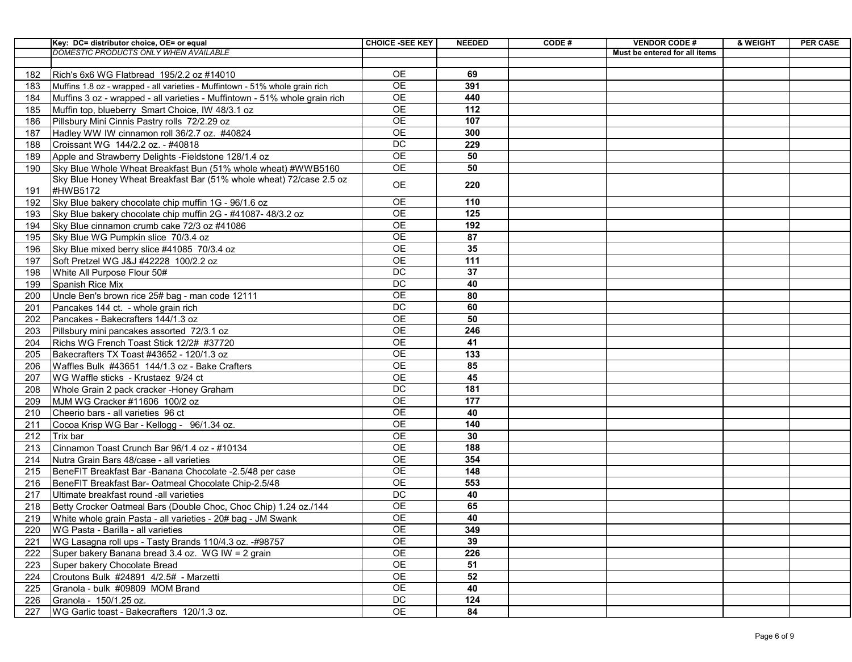|     | Key: DC= distributor choice, OE= or equal                                    | <b>CHOICE -SEE KEY</b> | <b>NEEDED</b> | CODE# | <b>VENDOR CODE#</b>           | & WEIGHT | <b>PER CASE</b> |
|-----|------------------------------------------------------------------------------|------------------------|---------------|-------|-------------------------------|----------|-----------------|
|     | DOMESTIC PRODUCTS ONLY WHEN AVAILABLE                                        |                        |               |       | Must be entered for all items |          |                 |
|     |                                                                              |                        |               |       |                               |          |                 |
| 182 | Rich's 6x6 WG Flatbread 195/2.2 oz #14010                                    | <b>OE</b>              | 69            |       |                               |          |                 |
| 183 | Muffins 1.8 oz - wrapped - all varieties - Muffintown - 51% whole grain rich | <b>OE</b>              | 391           |       |                               |          |                 |
| 184 | Muffins 3 oz - wrapped - all varieties - Muffintown - 51% whole grain rich   | <b>OE</b>              | 440           |       |                               |          |                 |
| 185 | Muffin top, blueberry Smart Choice, IW 48/3.1 oz                             | <b>OE</b>              | 112           |       |                               |          |                 |
| 186 | Pillsbury Mini Cinnis Pastry rolls 72/2.29 oz                                | <b>OE</b>              | 107           |       |                               |          |                 |
| 187 | Hadley WW IW cinnamon roll 36/2.7 oz. #40824                                 | <b>OE</b>              | 300           |       |                               |          |                 |
| 188 | Croissant WG 144/2.2 oz. - #40818                                            | <b>DC</b>              | 229           |       |                               |          |                 |
| 189 | Apple and Strawberry Delights - Fieldstone 128/1.4 oz                        | <b>OE</b>              | 50            |       |                               |          |                 |
| 190 | Sky Blue Whole Wheat Breakfast Bun (51% whole wheat) #WWB5160                | <b>OE</b>              | 50            |       |                               |          |                 |
|     | Sky Blue Honey Wheat Breakfast Bar (51% whole wheat) 72/case 2.5 oz          | <b>OE</b>              | 220           |       |                               |          |                 |
| 191 | #HWB5172                                                                     |                        |               |       |                               |          |                 |
| 192 | Sky Blue bakery chocolate chip muffin 1G - 96/1.6 oz                         | <b>OE</b>              | 110           |       |                               |          |                 |
| 193 | Sky Blue bakery chocolate chip muffin 2G - #41087-48/3.2 oz                  | <b>OE</b>              | 125           |       |                               |          |                 |
| 194 | Sky Blue cinnamon crumb cake 72/3 oz #41086                                  | <b>OE</b>              | 192           |       |                               |          |                 |
| 195 | Sky Blue WG Pumpkin slice 70/3.4 oz                                          | <b>OE</b>              | 87            |       |                               |          |                 |
| 196 | Sky Blue mixed berry slice #41085 70/3.4 oz                                  | <b>OE</b>              | 35            |       |                               |          |                 |
| 197 | Soft Pretzel WG J&J #42228 100/2.2 oz                                        | <b>OE</b>              | 111           |       |                               |          |                 |
| 198 | White All Purpose Flour 50#                                                  | <b>DC</b>              | 37            |       |                               |          |                 |
| 199 | <b>Spanish Rice Mix</b>                                                      | <b>DC</b>              | 40            |       |                               |          |                 |
| 200 | Uncle Ben's brown rice 25# bag - man code 12111                              | <b>OE</b>              | 80            |       |                               |          |                 |
| 201 | Pancakes 144 ct. - whole grain rich                                          | <b>DC</b>              | 60            |       |                               |          |                 |
| 202 | Pancakes - Bakecrafters 144/1.3 oz                                           | <b>OE</b>              | 50            |       |                               |          |                 |
| 203 | Pillsbury mini pancakes assorted 72/3.1 oz                                   | <b>OE</b>              | 246           |       |                               |          |                 |
| 204 | Richs WG French Toast Stick 12/2# #37720                                     | <b>OE</b>              | 41            |       |                               |          |                 |
| 205 | Bakecrafters TX Toast #43652 - 120/1.3 oz                                    | <b>OE</b>              | 133           |       |                               |          |                 |
| 206 | Waffles Bulk #43651 144/1.3 oz - Bake Crafters                               | <b>OE</b>              | 85            |       |                               |          |                 |
| 207 | WG Waffle sticks - Krustaez 9/24 ct                                          | OE                     | 45            |       |                               |          |                 |
| 208 | Whole Grain 2 pack cracker - Honey Graham                                    | <b>DC</b>              | 181           |       |                               |          |                 |
| 209 | MJM WG Cracker #11606 100/2 oz                                               | <b>OE</b>              | 177           |       |                               |          |                 |
| 210 | Cheerio bars - all varieties 96 ct                                           | <b>OE</b>              | 40            |       |                               |          |                 |
| 211 | Cocoa Krisp WG Bar - Kellogg - 96/1.34 oz.                                   | <b>OE</b>              | 140           |       |                               |          |                 |
| 212 | Trix bar                                                                     | <b>OE</b>              | 30            |       |                               |          |                 |
| 213 | Cinnamon Toast Crunch Bar 96/1.4 oz - #10134                                 | <b>OE</b>              | 188           |       |                               |          |                 |
| 214 | Nutra Grain Bars 48/case - all varieties                                     | <b>OE</b>              | 354           |       |                               |          |                 |
| 215 | BeneFIT Breakfast Bar - Banana Chocolate - 2.5/48 per case                   | <b>OE</b>              | 148           |       |                               |          |                 |
| 216 | BeneFIT Breakfast Bar- Oatmeal Chocolate Chip-2.5/48                         | <b>OE</b>              | 553           |       |                               |          |                 |
| 217 | Ultimate breakfast round -all varieties                                      | <b>DC</b>              | 40            |       |                               |          |                 |
| 218 | Betty Crocker Oatmeal Bars (Double Choc, Choc Chip) 1.24 oz./144             | <b>OE</b>              | 65            |       |                               |          |                 |
| 219 | White whole grain Pasta - all varieties - 20# bag - JM Swank                 | <b>OE</b>              | 40            |       |                               |          |                 |
| 220 | <b>WG Pasta - Barilla - all varieties</b>                                    | <b>OE</b>              | 349           |       |                               |          |                 |
| 221 | WG Lasagna roll ups - Tasty Brands 110/4.3 oz. -#98757                       | <b>OE</b>              | 39            |       |                               |          |                 |
| 222 | Super bakery Banana bread 3.4 oz. WG IW = 2 grain                            | <b>OE</b>              | 226           |       |                               |          |                 |
| 223 | Super bakery Chocolate Bread                                                 | <b>OE</b>              | 51            |       |                               |          |                 |
| 224 | Croutons Bulk #24891 4/2.5# - Marzetti                                       | <b>OE</b>              | 52            |       |                               |          |                 |
| 225 | Granola - bulk #09809 MOM Brand                                              | <b>OE</b>              | 40            |       |                               |          |                 |
| 226 | Granola - 150/1.25 oz.                                                       | <b>DC</b>              | 124           |       |                               |          |                 |
| 227 | <b>WG Garlic toast - Bakecrafters 120/1.3 oz.</b>                            | <b>OE</b>              | 84            |       |                               |          |                 |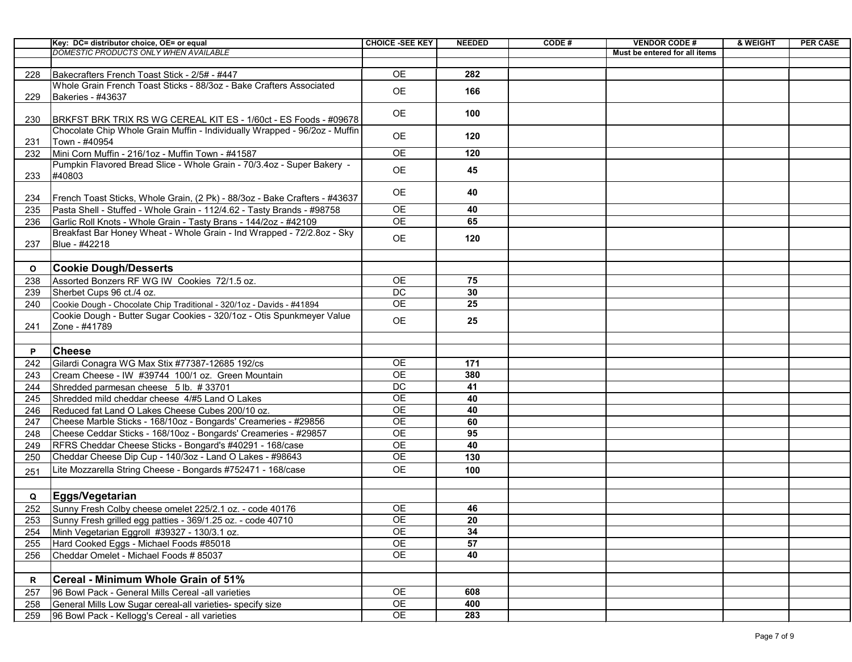|             | Key: DC= distributor choice, OE= or equal                                                                                                  | <b>CHOICE -SEE KEY</b> | <b>NEEDED</b> | CODE# | <b>VENDOR CODE#</b>           | & WEIGHT | <b>PER CASE</b> |
|-------------|--------------------------------------------------------------------------------------------------------------------------------------------|------------------------|---------------|-------|-------------------------------|----------|-----------------|
|             | <b>DOMESTIC PRODUCTS ONLY WHEN AVAILABLE</b>                                                                                               |                        |               |       | Must be entered for all items |          |                 |
|             |                                                                                                                                            |                        |               |       |                               |          |                 |
| 228         | Bakecrafters French Toast Stick - 2/5# - #447                                                                                              | <b>OE</b>              | 282           |       |                               |          |                 |
|             | Whole Grain French Toast Sticks - 88/3oz - Bake Crafters Associated                                                                        | <b>OE</b>              | 166           |       |                               |          |                 |
| 229         | Bakeries - #43637                                                                                                                          |                        |               |       |                               |          |                 |
|             |                                                                                                                                            | <b>OE</b>              | 100           |       |                               |          |                 |
| 230         | BRKFST BRK TRIX RS WG CEREAL KIT ES - 1/60ct - ES Foods - #09678                                                                           |                        |               |       |                               |          |                 |
|             | Chocolate Chip Whole Grain Muffin - Individually Wrapped - 96/2oz - Muffin                                                                 | <b>OE</b>              | 120           |       |                               |          |                 |
| 231         | Town - #40954                                                                                                                              |                        |               |       |                               |          |                 |
| 232         | Mini Corn Muffin - 216/1oz - Muffin Town - #41587                                                                                          | <b>OE</b>              | 120           |       |                               |          |                 |
|             | Pumpkin Flavored Bread Slice - Whole Grain - 70/3.4oz - Super Bakery -                                                                     | <b>OE</b>              | 45            |       |                               |          |                 |
| 233         | #40803                                                                                                                                     |                        |               |       |                               |          |                 |
|             | French Toast Sticks, Whole Grain, (2 Pk) - 88/3oz - Bake Crafters - #43637                                                                 | <b>OE</b>              | 40            |       |                               |          |                 |
| 234         |                                                                                                                                            | <b>OE</b>              | 40            |       |                               |          |                 |
| 235<br>236  | Pasta Shell - Stuffed - Whole Grain - 112/4.62 - Tasty Brands - #98758<br>Garlic Roll Knots - Whole Grain - Tasty Brans - 144/2oz - #42109 | <b>OE</b>              | 65            |       |                               |          |                 |
|             | Breakfast Bar Honey Wheat - Whole Grain - Ind Wrapped - 72/2.8oz - Sky                                                                     |                        |               |       |                               |          |                 |
| 237         | Blue - #42218                                                                                                                              | <b>OE</b>              | 120           |       |                               |          |                 |
|             |                                                                                                                                            |                        |               |       |                               |          |                 |
|             |                                                                                                                                            |                        |               |       |                               |          |                 |
| $\mathbf 0$ | <b>Cookie Dough/Desserts</b>                                                                                                               |                        |               |       |                               |          |                 |
| 238         | Assorted Bonzers RF WG IW Cookies 72/1.5 oz.                                                                                               | <b>OE</b><br><b>DC</b> | 75<br>30      |       |                               |          |                 |
| 239         | Sherbet Cups 96 ct./4 oz.                                                                                                                  |                        |               |       |                               |          |                 |
| 240         | Cookie Dough - Chocolate Chip Traditional - 320/1oz - Davids - #41894                                                                      | <b>OE</b>              | 25            |       |                               |          |                 |
|             | Cookie Dough - Butter Sugar Cookies - 320/1oz - Otis Spunkmeyer Value                                                                      | <b>OE</b>              | 25            |       |                               |          |                 |
| 241         | Zone - #41789                                                                                                                              |                        |               |       |                               |          |                 |
|             |                                                                                                                                            |                        |               |       |                               |          |                 |
| P           | <b>Cheese</b>                                                                                                                              |                        |               |       |                               |          |                 |
| 242         | Gilardi Conagra WG Max Stix #77387-12685 192/cs                                                                                            | <b>OE</b>              | 171           |       |                               |          |                 |
| 243         | Cream Cheese - IW #39744 100/1 oz. Green Mountain                                                                                          | <b>OE</b>              | 380           |       |                               |          |                 |
| 244         | Shredded parmesan cheese 5 lb. #33701                                                                                                      | <b>DC</b>              | 41            |       |                               |          |                 |
| 245         | Shredded mild cheddar cheese 4/#5 Land O Lakes                                                                                             | <b>OE</b>              | 40            |       |                               |          |                 |
| 246         | Reduced fat Land O Lakes Cheese Cubes 200/10 oz.                                                                                           | <b>OE</b>              | 40            |       |                               |          |                 |
| 247         | Cheese Marble Sticks - 168/10oz - Bongards' Creameries - #29856                                                                            | <b>OE</b>              | 60            |       |                               |          |                 |
| 248         | Cheese Ceddar Sticks - 168/10oz - Bongards' Creameries - #29857                                                                            | <b>OE</b>              | 95            |       |                               |          |                 |
| 249         | RFRS Cheddar Cheese Sticks - Bongard's #40291 - 168/case                                                                                   | <b>OE</b>              | 40            |       |                               |          |                 |
| 250         | Cheddar Cheese Dip Cup - 140/3oz - Land O Lakes - #98643                                                                                   | <b>OE</b>              | 130           |       |                               |          |                 |
| 251         | Lite Mozzarella String Cheese - Bongards #752471 - 168/case                                                                                | <b>OE</b>              | 100           |       |                               |          |                 |
|             |                                                                                                                                            |                        |               |       |                               |          |                 |
| Q           | Eggs/Vegetarian                                                                                                                            |                        |               |       |                               |          |                 |
| 252         | Sunny Fresh Colby cheese omelet 225/2.1 oz. - code 40176                                                                                   | <b>OE</b>              | 46            |       |                               |          |                 |
| 253         | Sunny Fresh grilled egg patties - 369/1.25 oz. - code 40710                                                                                | <b>OE</b>              | 20            |       |                               |          |                 |
| 254         | Minh Vegetarian Eggroll #39327 - 130/3.1 oz.                                                                                               | <b>OE</b>              | 34            |       |                               |          |                 |
| 255         | Hard Cooked Eggs - Michael Foods #85018                                                                                                    | <b>OE</b>              | 57            |       |                               |          |                 |
| 256         | Cheddar Omelet - Michael Foods # 85037                                                                                                     | <b>OE</b>              | 40            |       |                               |          |                 |
|             |                                                                                                                                            |                        |               |       |                               |          |                 |
|             | <b>Cereal - Minimum Whole Grain of 51%</b>                                                                                                 |                        |               |       |                               |          |                 |
| 257         | 96 Bowl Pack - General Mills Cereal -all varieties                                                                                         | <b>OE</b>              | 608           |       |                               |          |                 |
| 258         | General Mills Low Sugar cereal-all varieties- specify size                                                                                 | <b>OE</b>              | 400           |       |                               |          |                 |
| 259         | 96 Bowl Pack - Kellogg's Cereal - all varieties                                                                                            | <b>OE</b>              | 283           |       |                               |          |                 |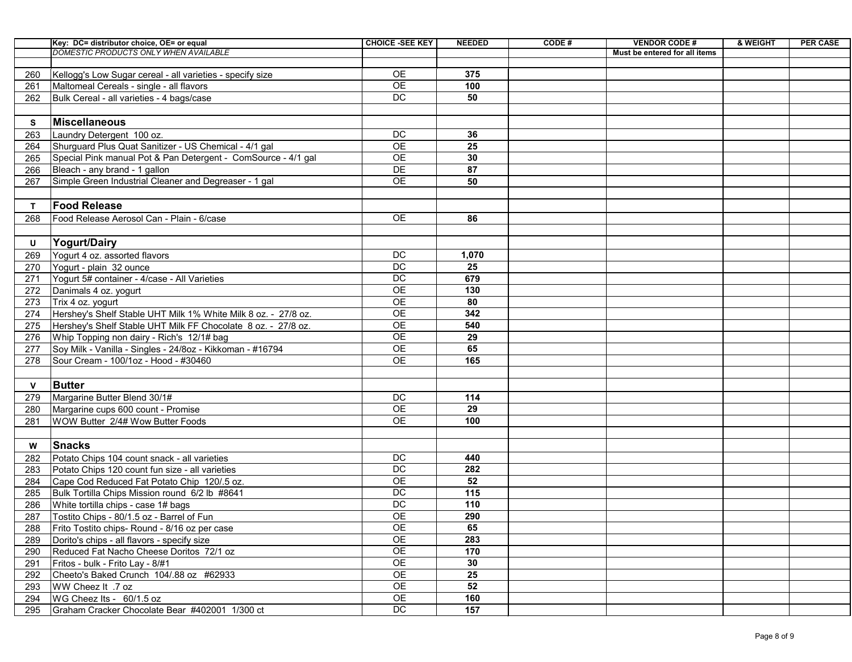|            | Key: DC= distributor choice, OE= or equal                                                                              | <b>CHOICE -SEE KEY</b> | <b>NEEDED</b> | CODE# | <b>VENDOR CODE#</b>           | & WEIGHT | <b>PER CASE</b> |
|------------|------------------------------------------------------------------------------------------------------------------------|------------------------|---------------|-------|-------------------------------|----------|-----------------|
|            | DOMESTIC PRODUCTS ONLY WHEN AVAILABLE                                                                                  |                        |               |       | Must be entered for all items |          |                 |
|            |                                                                                                                        |                        |               |       |                               |          |                 |
| 260        | Kellogg's Low Sugar cereal - all varieties - specify size                                                              | <b>OE</b><br><b>OE</b> | 375<br>100    |       |                               |          |                 |
| 261        | Maltomeal Cereals - single - all flavors                                                                               |                        |               |       |                               |          |                 |
| 262        | Bulk Cereal - all varieties - 4 bags/case                                                                              | <b>DC</b>              | 50            |       |                               |          |                 |
| S          | Miscellaneous                                                                                                          |                        |               |       |                               |          |                 |
|            |                                                                                                                        | DC                     | 36            |       |                               |          |                 |
| 263        | Laundry Detergent 100 oz.                                                                                              | <b>OE</b>              | 25            |       |                               |          |                 |
| 264<br>265 | Shurguard Plus Quat Sanitizer - US Chemical - 4/1 gal<br>Special Pink manual Pot & Pan Detergent - ComSource - 4/1 gal | <b>OE</b>              | 30            |       |                               |          |                 |
| 266        | Bleach - any brand - 1 gallon                                                                                          | DE                     | 87            |       |                               |          |                 |
| 267        | Simple Green Industrial Cleaner and Degreaser - 1 gal                                                                  | <b>OE</b>              | 50            |       |                               |          |                 |
|            |                                                                                                                        |                        |               |       |                               |          |                 |
|            | <b>Food Release</b>                                                                                                    |                        |               |       |                               |          |                 |
| 268        | Food Release Aerosol Can - Plain - 6/case                                                                              | <b>OE</b>              | 86            |       |                               |          |                 |
|            |                                                                                                                        |                        |               |       |                               |          |                 |
| U          | <b>Yogurt/Dairy</b>                                                                                                    |                        |               |       |                               |          |                 |
| 269        | Yogurt 4 oz. assorted flavors                                                                                          | <b>DC</b>              | 1,070         |       |                               |          |                 |
| 270        | Yogurt - plain 32 ounce                                                                                                | <b>DC</b>              | 25            |       |                               |          |                 |
| 271        | Yogurt 5# container - 4/case - All Varieties                                                                           | <b>DC</b>              | 679           |       |                               |          |                 |
| 272        | Danimals 4 oz. yogurt                                                                                                  | <b>OE</b>              | 130           |       |                               |          |                 |
| 273        | Trix 4 oz. yogurt                                                                                                      | <b>OE</b>              | 80            |       |                               |          |                 |
| 274        | Hershey's Shelf Stable UHT Milk 1% White Milk 8 oz. - 27/8 oz.                                                         | <b>OE</b>              | 342           |       |                               |          |                 |
| 275        | Hershey's Shelf Stable UHT Milk FF Chocolate 8 oz. - 27/8 oz.                                                          | <b>OE</b>              | 540           |       |                               |          |                 |
| 276        | Whip Topping non dairy - Rich's 12/1# bag                                                                              | <b>OE</b>              | 29            |       |                               |          |                 |
| 277        | Soy Milk - Vanilla - Singles - 24/8oz - Kikkoman - #16794                                                              | <b>OE</b>              | 65            |       |                               |          |                 |
| 278        | Sour Cream - 100/1oz - Hood - #30460                                                                                   | <b>OE</b>              | 165           |       |                               |          |                 |
|            |                                                                                                                        |                        |               |       |                               |          |                 |
|            | <b>Butter</b>                                                                                                          |                        |               |       |                               |          |                 |
| 279        | Margarine Butter Blend 30/1#                                                                                           | <b>DC</b>              | 114           |       |                               |          |                 |
| 280        | Margarine cups 600 count - Promise                                                                                     | <b>OE</b>              | 29            |       |                               |          |                 |
| 281        | <b>WOW Butter 2/4# Wow Butter Foods</b>                                                                                | <b>OE</b>              | 100           |       |                               |          |                 |
|            |                                                                                                                        |                        |               |       |                               |          |                 |
| W          | Snacks                                                                                                                 |                        |               |       |                               |          |                 |
| 282        | Potato Chips 104 count snack - all varieties                                                                           | <b>DC</b>              | 440           |       |                               |          |                 |
| 283        | Potato Chips 120 count fun size - all varieties                                                                        | DC                     | 282           |       |                               |          |                 |
| 284        | Cape Cod Reduced Fat Potato Chip 120/.5 oz.                                                                            | <b>OE</b>              | 52            |       |                               |          |                 |
| 285        | Bulk Tortilla Chips Mission round 6/2 lb #8641                                                                         | DC                     | 115           |       |                               |          |                 |
| 286        | White tortilla chips - case 1# bags                                                                                    | DC                     | 110           |       |                               |          |                 |
| 287        | Tostito Chips - 80/1.5 oz - Barrel of Fun                                                                              | <b>OE</b>              | 290           |       |                               |          |                 |
| 288        | Frito Tostito chips- Round - 8/16 oz per case                                                                          | <b>OE</b>              | 65            |       |                               |          |                 |
| 289        | Dorito's chips - all flavors - specify size                                                                            | <b>OE</b>              | 283           |       |                               |          |                 |
| 290        | Reduced Fat Nacho Cheese Doritos 72/1 oz                                                                               | <b>OE</b>              | 170           |       |                               |          |                 |
| 291        | Fritos - bulk - Frito Lay - 8/#1                                                                                       | <b>OE</b>              | 30            |       |                               |          |                 |
| 292        | Cheeto's Baked Crunch 104/88 oz #62933                                                                                 | OE                     | 25            |       |                               |          |                 |
| 293        | <b>WW Cheez It .7 oz</b>                                                                                               | <b>OE</b>              | 52            |       |                               |          |                 |
| 294        | WG Cheez Its - 60/1.5 oz                                                                                               | <b>OE</b>              | 160           |       |                               |          |                 |
| 295        | Graham Cracker Chocolate Bear #402001 1/300 ct                                                                         | DC                     | 157           |       |                               |          |                 |